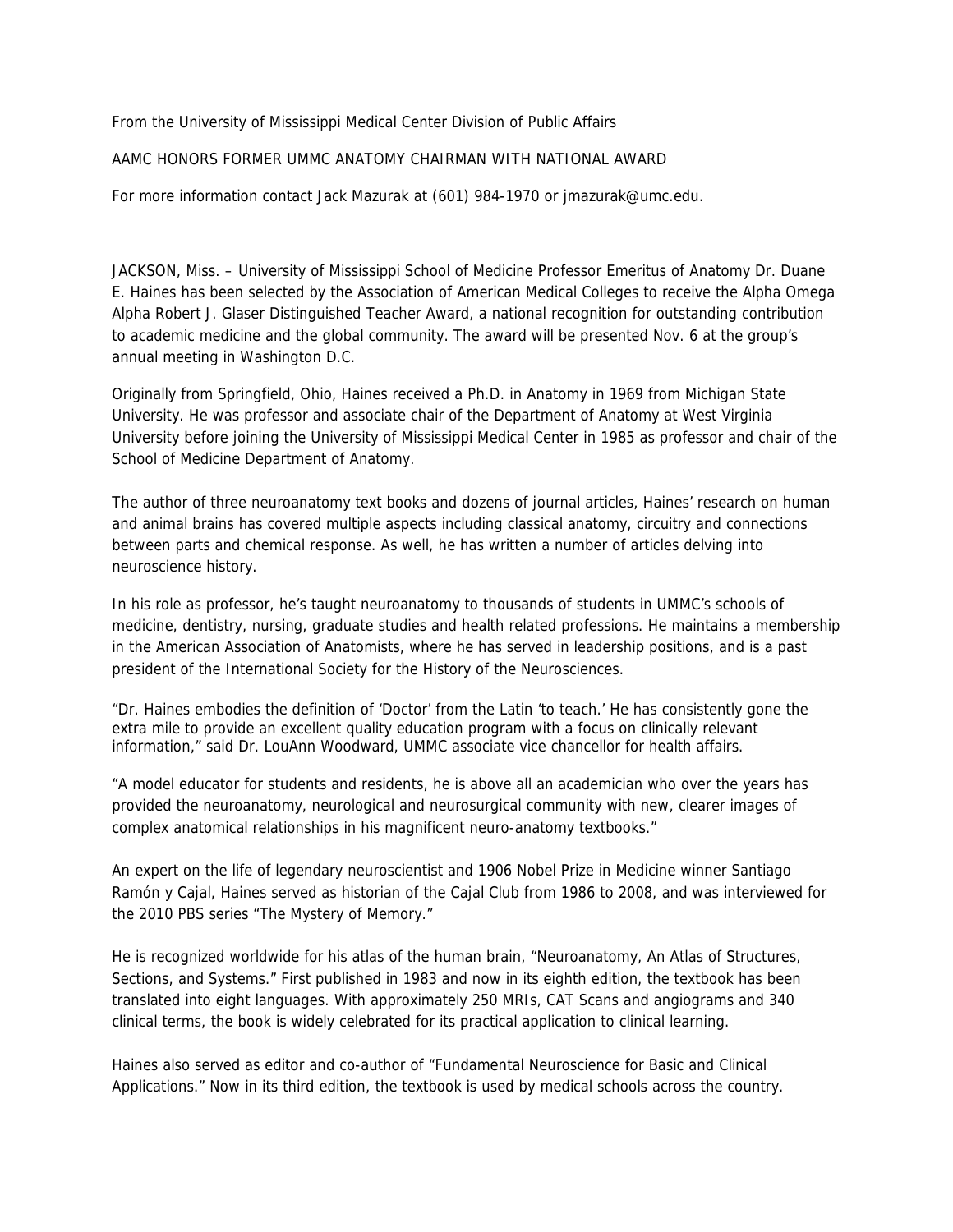From the University of Mississippi Medical Center Division of Public Affairs

## AAMC HONORS FORMER UMMC ANATOMY CHAIRMAN WITH NATIONAL AWARD

For more information contact Jack Mazurak at (601) 984-1970 or jmazurak@umc.edu.

JACKSON, Miss. – University of Mississippi School of Medicine Professor Emeritus of Anatomy Dr. Duane E. Haines has been selected by the Association of American Medical Colleges to receive the Alpha Omega Alpha Robert J. Glaser Distinguished Teacher Award, a national recognition for outstanding contribution to academic medicine and the global community. The award will be presented Nov. 6 at the group's annual meeting in Washington D.C.

Originally from Springfield, Ohio, Haines received a Ph.D. in Anatomy in 1969 from Michigan State University. He was professor and associate chair of the Department of Anatomy at West Virginia University before joining the University of Mississippi Medical Center in 1985 as professor and chair of the School of Medicine Department of Anatomy.

The author of three neuroanatomy text books and dozens of journal articles, Haines' research on human and animal brains has covered multiple aspects including classical anatomy, circuitry and connections between parts and chemical response. As well, he has written a number of articles delving into neuroscience history.

In his role as professor, he's taught neuroanatomy to thousands of students in UMMC's schools of medicine, dentistry, nursing, graduate studies and health related professions. He maintains a membership in the American Association of Anatomists, where he has served in leadership positions, and is a past president of the International Society for the History of the Neurosciences.

"Dr. Haines embodies the definition of 'Doctor' from the Latin 'to teach.' He has consistently gone the extra mile to provide an excellent quality education program with a focus on clinically relevant information," said Dr. LouAnn Woodward, UMMC associate vice chancellor for health affairs.

"A model educator for students and residents, he is above all an academician who over the years has provided the neuroanatomy, neurological and neurosurgical community with new, clearer images of complex anatomical relationships in his magnificent neuro-anatomy textbooks."

An expert on the life of legendary neuroscientist and 1906 Nobel Prize in Medicine winner Santiago Ramón y Cajal, Haines served as historian of the Cajal Club from 1986 to 2008, and was interviewed for the 2010 PBS series "The Mystery of Memory."

He is recognized worldwide for his atlas of the human brain, "Neuroanatomy, An Atlas of Structures, Sections, and Systems." First published in 1983 and now in its eighth edition, the textbook has been translated into eight languages. With approximately 250 MRIs, CAT Scans and angiograms and 340 clinical terms, the book is widely celebrated for its practical application to clinical learning.

Haines also served as editor and co-author of "Fundamental Neuroscience for Basic and Clinical Applications." Now in its third edition, the textbook is used by medical schools across the country.